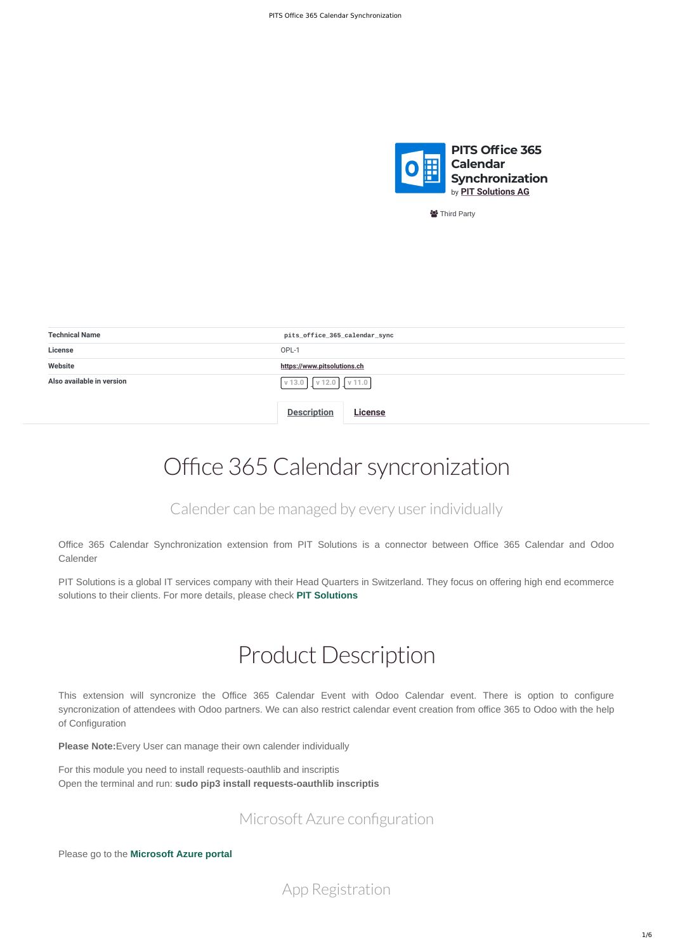

*v* Third Party

<span id="page-0-0"></span>

| <b>Technical Name</b>     | pits_office_365_calendar_sync |  |  |  |  |
|---------------------------|-------------------------------|--|--|--|--|
| <b>License</b>            | OPL-1                         |  |  |  |  |
| Website                   | https://www.pitsolutions.ch   |  |  |  |  |
| Also available in version | v 11.0<br>v 13.0<br>v 12.0    |  |  |  |  |
|                           | <b>Description</b><br>License |  |  |  |  |

# Office 365 Calendar syncronization

Office 365 Calendar Synchronization extension from PIT Solutions is a connector between Office 365 Calendar and Odoo Calender

PIT Solutions is a global IT services company with their Head Quarters in Switzerland. They focus on offering high end ecommerce solutions to their clients. For more details, please check **[PIT Solutions](http://www.pitsolutions.ch/)**

### Calender can be managed by every user individually

## Product Description

This extension will syncronize the Office 365 Calendar Event with Odoo Calendar event. There is option to configure syncronization of attendees with Odoo partners. We can also restrict calendar event creation from office 365 to Odoo with the help

### of Configuration

**Please Note:**Every User can manage their own calender individually

For this module you need to install requests-oauthlib and inscriptis Open the terminal and run: **sudo pip3 install requests-oauthlib inscriptis**

Please go to the **[Microsoft Azure portal](https://portal.azure.com/)**

### Microsoft Azure configuration

App Registration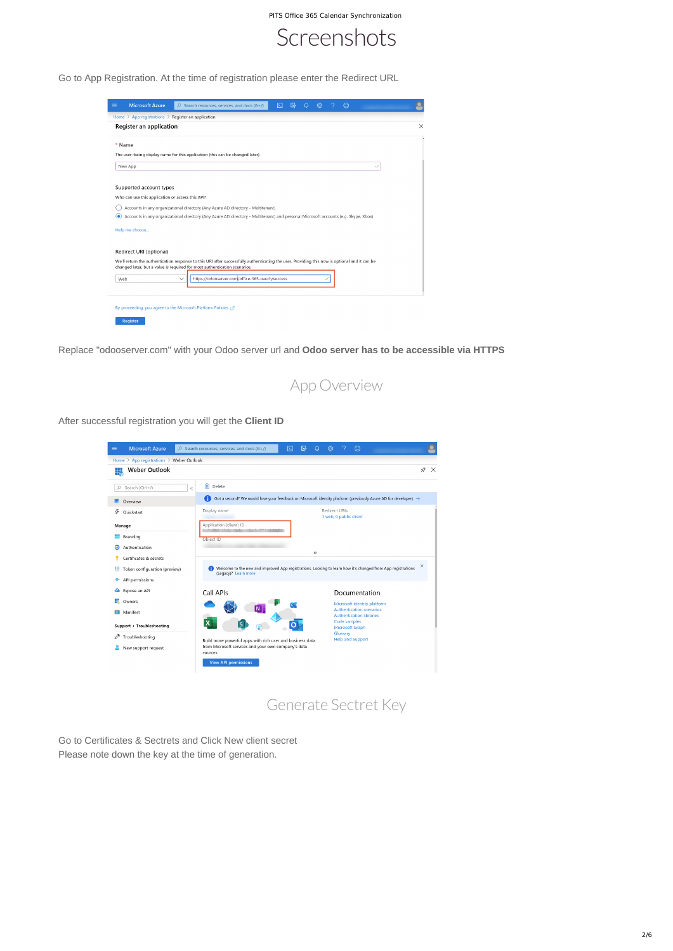

Go to App Registration. At the time of registration please enter the Redirect URL

| <b>Microsoft Azure</b><br>≡                                  | $\varphi$ Search resources, services, and docs (G+/)                                                                                          | ⊠ | 伲 | 863 | $_{\odot}$ |                |
|--------------------------------------------------------------|-----------------------------------------------------------------------------------------------------------------------------------------------|---|---|-----|------------|----------------|
| Home $\geq$ App registrations $\geq$ Register an application |                                                                                                                                               |   |   |     |            |                |
| Register an application                                      |                                                                                                                                               |   |   |     |            | $\times$       |
| * Name                                                       |                                                                                                                                               |   |   |     |            | $\overline{a}$ |
|                                                              | The user-facing display name for this application (this can be changed later).                                                                |   |   |     |            |                |
| New App                                                      |                                                                                                                                               |   |   |     |            |                |
| Supported account types                                      |                                                                                                                                               |   |   |     |            |                |
| Who can use this application or access this API?             |                                                                                                                                               |   |   |     |            |                |
|                                                              | Accounts in any organizational directory (Any Azure AD directory - Multitenant)                                                               |   |   |     |            |                |
| ( o                                                          | Accounts in any organizational directory (Any Azure AD directory - Multitenant) and personal Microsoft accounts (e.g. Skype, Xbox)            |   |   |     |            |                |
| Help me choose                                               |                                                                                                                                               |   |   |     |            |                |
|                                                              |                                                                                                                                               |   |   |     |            |                |
| Redirect URI (optional)                                      |                                                                                                                                               |   |   |     |            |                |
|                                                              | We'll return the authentication response to this URI after successfully authenticating the user. Providing this now is optional and it can be |   |   |     |            |                |
|                                                              | changed later, but a value is required for most authentication scenarios.                                                                     |   |   |     |            |                |
| Web                                                          | https://odooserver.com/office-365-oauth/success<br>$\checkmark$                                                                               |   |   |     |            |                |
|                                                              |                                                                                                                                               |   |   |     |            |                |
|                                                              |                                                                                                                                               |   |   |     |            |                |
|                                                              | By proceeding, you agree to the Microsoft Platform Policies $\Box$                                                                            |   |   |     |            |                |
| Register                                                     |                                                                                                                                               |   |   |     |            |                |

Replace "odooserver.com" with your Odoo server url and **Odoo server has to be accessible via HTTPS**

After successful registration you will get the **Client ID**



Go to Certificates & Sectrets and Click New client secret Please note down the key at the time of generation.



## Generate Sectret Key

PITS Office 365 Calendar Synchronization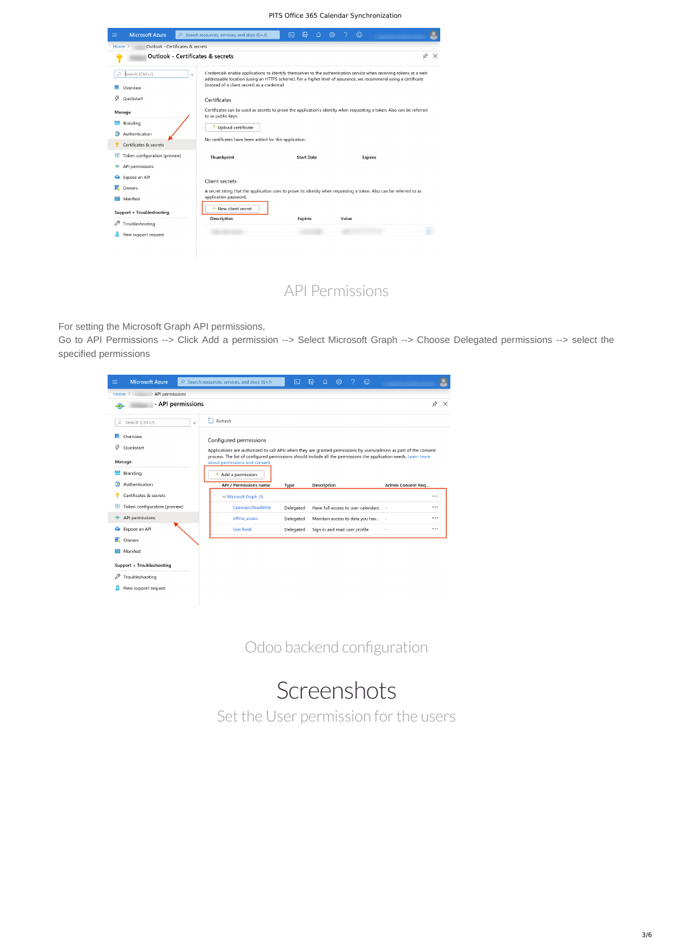For setting the Microsoft Graph API permissions,

Go to API Permissions --> Click Add a permission --> Select Microsoft Graph --> Choose Delegated permissions --> select the specified permissions

| $\equiv$ | <b>Microsoft Azure</b>        | $\oslash$ Search resources, services, and docs (G+/)                                                                                              | 区         | 侭 | ∆ | १०३                           |  | $_{\odot}$                         |        |          |              |
|----------|-------------------------------|---------------------------------------------------------------------------------------------------------------------------------------------------|-----------|---|---|-------------------------------|--|------------------------------------|--------|----------|--------------|
|          | Home $>$<br>- API permissions |                                                                                                                                                   |           |   |   |                               |  |                                    |        |          |              |
| ⊕        | - API permissions             |                                                                                                                                                   |           |   |   |                               |  |                                    |        | ☆        | $\mathsf{X}$ |
| Ω        | Search (Ctrl+/)<br>$\ll$      | Refresh                                                                                                                                           |           |   |   |                               |  |                                    |        |          |              |
|          | Overview                      | Configured permissions                                                                                                                            |           |   |   |                               |  |                                    |        |          |              |
| B        | Quickstart                    | Applications are authorized to call APIs when they are granted permissions by users/admins as part of the consent                                 |           |   |   |                               |  |                                    |        |          |              |
|          | Manage                        | process. The list of configured permissions should include all the permissions the application needs. Learn more<br>about permissions and consent |           |   |   |                               |  |                                    |        |          |              |
|          | Branding                      | $+$ Add a permission                                                                                                                              |           |   |   |                               |  |                                    |        |          |              |
| வ        | Authentication                | API / Permissions name<br>Description<br>Type                                                                                                     |           |   |   |                               |  | Admin Consent Req                  |        |          |              |
|          |                               |                                                                                                                                                   |           |   |   |                               |  |                                    |        |          |              |
|          | Certificates & secrets        | $\vee$ Microsoft Graph (3)                                                                                                                        |           |   |   |                               |  |                                    |        | $\cdots$ |              |
|          | Token configuration (preview) | Calendars.ReadWrite                                                                                                                               | Delegated |   |   |                               |  | Have full access to user calendars | $\sim$ |          |              |
| $\div$   | API permissions               | offline_access                                                                                                                                    | Delegated |   |   |                               |  | Maintain access to data you hav -  |        |          |              |
| 企        | Expose an API                 | User.Read                                                                                                                                         | Delegated |   |   | Sign in and read user profile |  |                                    |        | $\cdots$ |              |
| 我        | Owners                        |                                                                                                                                                   |           |   |   |                               |  |                                    |        |          |              |
|          | Manifest                      |                                                                                                                                                   |           |   |   |                               |  |                                    |        |          |              |
|          | Support + Troubleshooting     |                                                                                                                                                   |           |   |   |                               |  |                                    |        |          |              |
|          | Troubleshooting               |                                                                                                                                                   |           |   |   |                               |  |                                    |        |          |              |
|          | New support request           |                                                                                                                                                   |           |   |   |                               |  |                                    |        |          |              |

Odoo backend configuration

## Screenshots

API Permissions

Set the User permission for the users

PITS Office 365 Calendar Synchronization

| Outlook - Certificates & secrets<br>Home $\geq$             |                                                                                                                                                                                                                                                                                         |                   |                |        |
|-------------------------------------------------------------|-----------------------------------------------------------------------------------------------------------------------------------------------------------------------------------------------------------------------------------------------------------------------------------------|-------------------|----------------|--------|
| <b>Outlook - Certificates &amp; secrets</b>                 |                                                                                                                                                                                                                                                                                         |                   |                | ☆<br>X |
| Search (Ctrl+/)<br>Ο<br>$\ll$<br>Overview<br>Quickstart     | Credentials enable applications to identify themselves to the authentication service when receiving tokens at a web<br>addressable location (using an HTTPS scheme). For a higher level of assurance, we recommend using a certificate<br>(instead of a client secret) as a credential. |                   |                |        |
| Manage                                                      | Certificates<br>Certificates can be used as secrets to prove the application's identity when requesting a token. Also can be referred<br>to as public keys.                                                                                                                             |                   |                |        |
| Branding<br>Э<br>Authentication                             | $\bar{\uparrow}$ Upload certificate<br>No certificates have been added for this application.                                                                                                                                                                                            |                   |                |        |
| Certificates & secrets<br>Token configuration (preview)     | Thumbprint                                                                                                                                                                                                                                                                              | <b>Start Date</b> | <b>Expires</b> |        |
| API permissions<br>Ð<br>Expose an API<br>Owners<br>Manifest | Client secrets<br>A secret string that the application uses to prove its identity when requesting a token. Also can be referred to as<br>application password.                                                                                                                          |                   |                |        |
| Support + Troubleshooting<br>Troubleshooting                | $+$ New client secret<br>Description                                                                                                                                                                                                                                                    | <b>Expires</b>    | Value          |        |
| New support request                                         |                                                                                                                                                                                                                                                                                         |                   |                |        |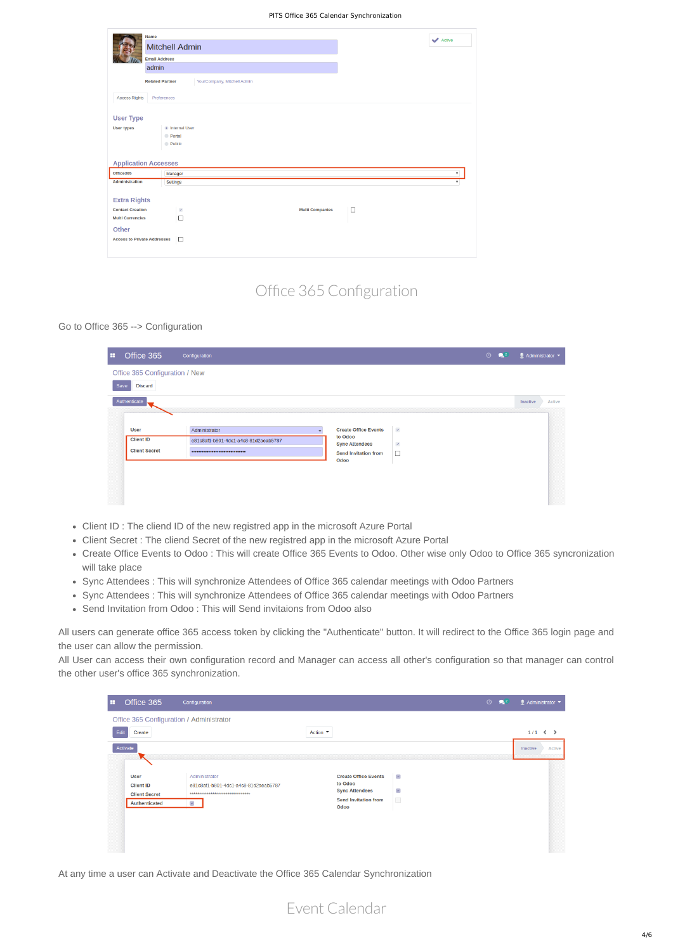- Client ID : The cliend ID of the new registred app in the microsoft Azure Portal
- Client Secret : The cliend Secret of the new registred app in the microsoft Azure Portal
- Create Office Events to Odoo : This will create Office 365 Events to Odoo. Other wise only Odoo to Office 365 syncronization will take place
- Sync Attendees : This will synchronize Attendees of Office 365 calendar meetings with Odoo Partners
- Sync Attendees : This will synchronize Attendees of Office 365 calendar meetings with Odoo Partners
- Send Invitation from Odoo : This will Send invitaions from Odoo also

Go to Office 365 --> Configuration

| ÷    | Office 365                                              | Configuration                                                                    |                                                                                                        |                                | $\odot$<br>$\mathbf{Q}^2$ |          | $\blacksquare$ Administrator $\blacktriangledown$ |
|------|---------------------------------------------------------|----------------------------------------------------------------------------------|--------------------------------------------------------------------------------------------------------|--------------------------------|---------------------------|----------|---------------------------------------------------|
| Save | Office 365 Configuration / New<br><b>Discard</b>        |                                                                                  |                                                                                                        |                                |                           |          |                                                   |
|      | Authenticate                                            | ,我们也不能会在这里,我们也不能会在这里,我们也不能会在这里,我们也不能会在这里,我们也不能会在这里,我们也不能会在这里,我们也不能会在这里,我们也不能会在这里 |                                                                                                        |                                |                           | Inactive | Active                                            |
|      | <b>User</b><br><b>Client ID</b><br><b>Client Secret</b> | Administrator<br>e81c8af1-b801-4dc1-a4c8-81d2aeab5787<br>                        | <b>Create Office Events</b><br>to Odoo<br><b>Sync Attendees</b><br><b>Send Invitation from</b><br>Odoo | $\mathcal{A}$<br>$\omega$<br>□ |                           |          |                                                   |
|      |                                                         |                                                                                  |                                                                                                        |                                |                           |          |                                                   |

All users can generate office 365 access token by clicking the "Authenticate" button. It will redirect to the Office 365 login page and the user can allow the permission.

All User can access their own configuration record and Manager can access all other's configuration so that manager can control the other user's office 365 synchronization.

#### Office 365 Configuration / Administrator

| Edit     | Create               |                                      | Action ▼                    |                             | $1/1 \leqslant \geqslant$ |  |
|----------|----------------------|--------------------------------------|-----------------------------|-----------------------------|---------------------------|--|
| Activate |                      |                                      |                             |                             | Inactive<br>Active        |  |
|          |                      |                                      |                             |                             |                           |  |
|          | <b>User</b>          | Administrator                        | <b>Create Office Events</b> | $\mathcal{L}_{\mathcal{C}}$ |                           |  |
|          | <b>Client ID</b>     | e81c8af1-b801-4dc1-a4c8-81d2aeab5787 | to Odoo                     |                             |                           |  |
|          | <b>Client Secret</b> | ********************************     | <b>Sync Attendees</b>       | $\prec$                     |                           |  |
|          | <b>Authenticated</b> | $\prec$                              | <b>Send Invitation from</b> | $\overline{\phantom{a}}$    |                           |  |
|          |                      |                                      | Odoo                        |                             |                           |  |
|          |                      |                                      |                             |                             |                           |  |
|          |                      |                                      |                             |                             |                           |  |
|          |                      |                                      |                             |                             |                           |  |
|          |                      |                                      |                             |                             |                           |  |
|          |                      |                                      |                             |                             |                           |  |

At any time a user can Activate and Deactivate the Office 365 Calendar Synchronization

## Office 365 Configuration

Event Calendar

PITS Office 365 Calendar Synchronization

|                                    | <b>Name</b>                                           |                        | Active             |
|------------------------------------|-------------------------------------------------------|------------------------|--------------------|
|                                    | <b>Mitchell Admin</b>                                 |                        |                    |
|                                    | <b>Email Address</b>                                  |                        |                    |
|                                    | admin                                                 |                        |                    |
|                                    | <b>Related Partner</b><br>YourCompany, Mitchell Admin |                        |                    |
| <b>Access Rights</b>               | Preferences                                           |                        |                    |
| <b>User Type</b>                   |                                                       |                        |                    |
| <b>User types</b>                  | · Internal User                                       |                        |                    |
|                                    | <b>Portal</b>                                         |                        |                    |
|                                    | <b>Public</b>                                         |                        |                    |
|                                    |                                                       |                        |                    |
| <b>Application Accesses</b>        |                                                       |                        |                    |
| Office365                          | Manager                                               |                        | $\pmb{\mathrm{v}}$ |
| <b>Administration</b>              | Settings                                              |                        | $\mathbf{v}$       |
| <b>Extra Rights</b>                |                                                       |                        |                    |
| <b>Contact Creation</b>            | $\omega$                                              | <b>Multi Companies</b> | $\Box$             |
| <b>Multi Currencies</b>            | $\Box$                                                |                        |                    |
| Other                              |                                                       |                        |                    |
| <b>Access to Private Addresses</b> | $\Box$                                                |                        |                    |
|                                    |                                                       |                        |                    |
|                                    |                                                       |                        |                    |